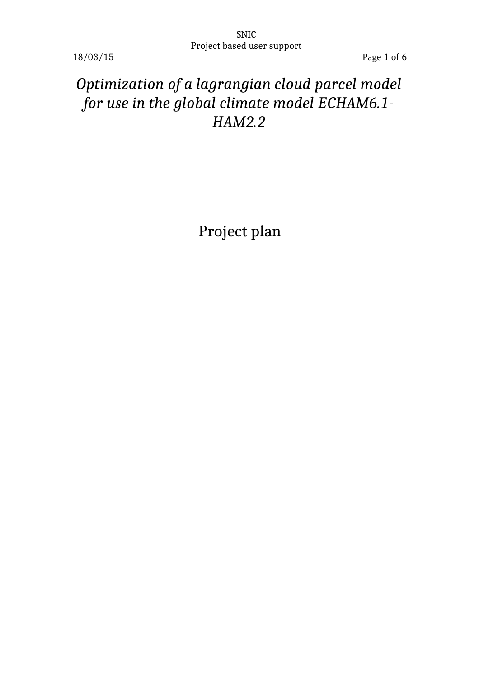18/03/15 Page 1 of 6

# *Optimization of a lagrangian cloud parcel model for use in the global climate model ECHAM6.1- HAM2.2*

Project plan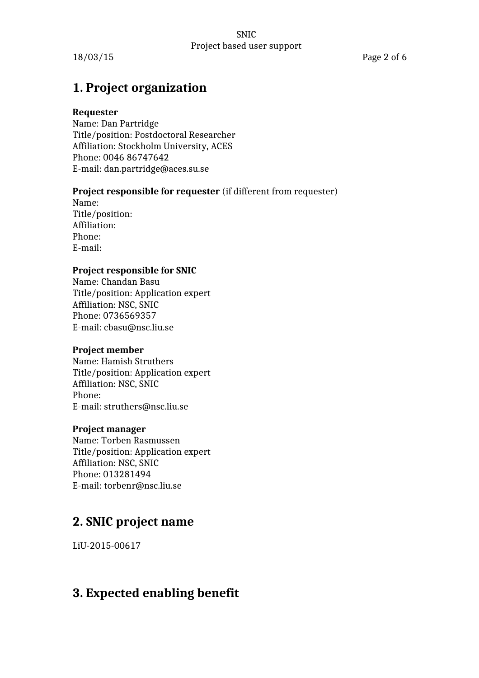18/03/15 Page 2 of 6

### **1. Project organization**

### **Requester**

Name: Dan Partridge Title/position: Postdoctoral Researcher Affiliation: Stockholm University, ACES Phone: 0046 86747642 E-mail: dan.partridge@aces.su.se

### **Project responsible for requester** (if different from requester)

Name: Title/position: Affiliation: Phone: E-mail:

### **Project responsible for SNIC**

Name: Chandan Basu Title/position: Application expert Affiliation: NSC, SNIC Phone: 0736569357 E-mail: cbasu@nsc.liu.se

### **Project member**

Name: Hamish Struthers Title/position: Application expert Affiliation: NSC, SNIC Phone: E-mail: struthers@nsc.liu.se

### **Project manager**

Name: Torben Rasmussen Title/position: Application expert Affiliation: NSC, SNIC Phone: 013281494 E-mail: torbenr@nsc.liu.se

## **2. SNIC project name**

LiU-2015-00617

### **3. Expected enabling benefit**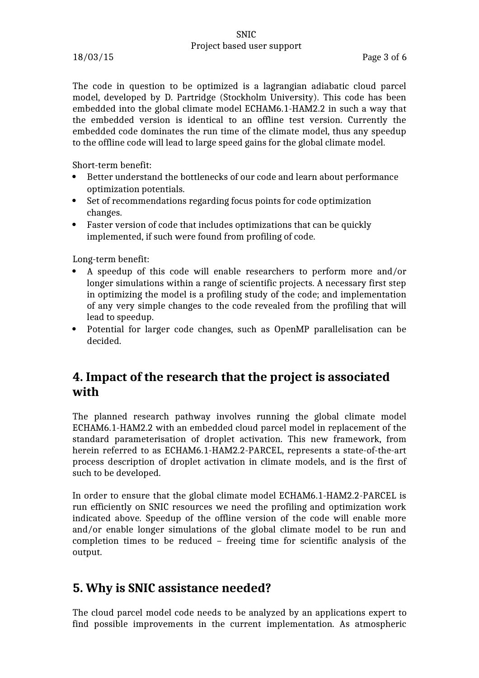The code in question to be optimized is a lagrangian adiabatic cloud parcel model, developed by D. Partridge (Stockholm University). This code has been embedded into the global climate model ECHAM6.1-HAM2.2 in such a way that the embedded version is identical to an offline test version. Currently the embedded code dominates the run time of the climate model, thus any speedup to the offline code will lead to large speed gains for the global climate model.

Short-term benefit:

- Better understand the bottlenecks of our code and learn about performance optimization potentials.
- Set of recommendations regarding focus points for code optimization changes.
- Faster version of code that includes optimizations that can be quickly implemented, if such were found from profiling of code.

Long-term benefit:

- A speedup of this code will enable researchers to perform more and/or longer simulations within a range of scientific projects. A necessary first step in optimizing the model is a profiling study of the code; and implementation of any very simple changes to the code revealed from the profiling that will lead to speedup.
- Potential for larger code changes, such as OpenMP parallelisation can be decided.

### **4. Impact of the research that the project is associated with**

The planned research pathway involves running the global climate model ECHAM6.1-HAM2.2 with an embedded cloud parcel model in replacement of the standard parameterisation of droplet activation. This new framework, from herein referred to as ECHAM6.1-HAM2.2-PARCEL, represents a state-of-the-art process description of droplet activation in climate models, and is the first of such to be developed.

In order to ensure that the global climate model ECHAM6.1-HAM2.2-PARCEL is run efficiently on SNIC resources we need the profiling and optimization work indicated above. Speedup of the offline version of the code will enable more and/or enable longer simulations of the global climate model to be run and completion times to be reduced – freeing time for scientific analysis of the output.

### **5. Why is SNIC assistance needed?**

The cloud parcel model code needs to be analyzed by an applications expert to find possible improvements in the current implementation. As atmospheric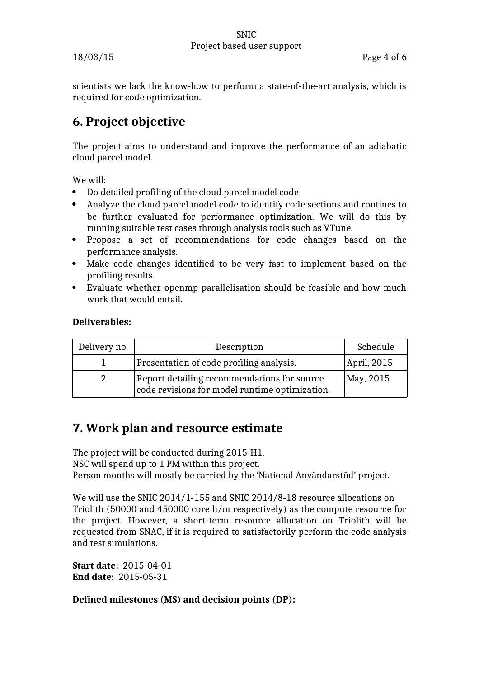scientists we lack the know-how to perform a state-of-the-art analysis, which is required for code optimization.

## **6. Project objective**

The project aims to understand and improve the performance of an adiabatic cloud parcel model.

We will:

- Do detailed profiling of the cloud parcel model code
- Analyze the cloud parcel model code to identify code sections and routines to be further evaluated for performance optimization. We will do this by running suitable test cases through analysis tools such as VTune.
- Propose a set of recommendations for code changes based on the performance analysis.
- Make code changes identified to be very fast to implement based on the profiling results.
- Evaluate whether openmp parallelisation should be feasible and how much work that would entail.

### **Deliverables:**

| Delivery no. | Description                                                                                   | Schedule      |
|--------------|-----------------------------------------------------------------------------------------------|---------------|
|              | Presentation of code profiling analysis.                                                      | April, $2015$ |
|              | Report detailing recommendations for source<br>code revisions for model runtime optimization. | May, 2015     |

## **7. Work plan and resource estimate**

The project will be conducted during 2015-H1. NSC will spend up to 1 PM within this project. Person months will mostly be carried by the 'National Användarstöd' project.

We will use the SNIC 2014/1-155 and SNIC 2014/8-18 resource allocations on Triolith (50000 and 450000 core h/m respectively) as the compute resource for the project. However, a short-term resource allocation on Triolith will be requested from SNAC, if it is required to satisfactorily perform the code analysis and test simulations.

**Start date:** 2015-04-01 **End date:** 2015-05-31

**Defined milestones (MS) and decision points (DP):**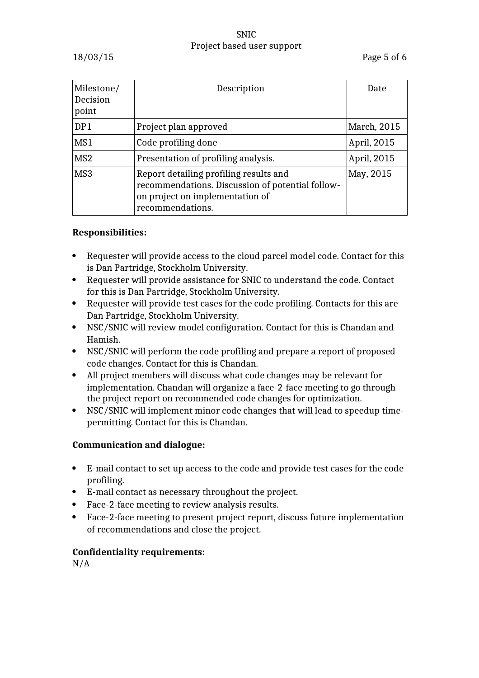| Milestone/<br>Decision<br>point | Description                                                                                                                                       | Date        |
|---------------------------------|---------------------------------------------------------------------------------------------------------------------------------------------------|-------------|
| DP1                             | Project plan approved                                                                                                                             | March, 2015 |
| MS1                             | Code profiling done                                                                                                                               | April, 2015 |
| MS <sub>2</sub>                 | Presentation of profiling analysis.                                                                                                               | April, 2015 |
| MS3                             | Report detailing profiling results and<br>recommendations. Discussion of potential follow-<br>on project on implementation of<br>recommendations. | May, 2015   |

### **Responsibilities:**

- Requester will provide access to the cloud parcel model code. Contact for this is Dan Partridge, Stockholm University.
- Requester will provide assistance for SNIC to understand the code. Contact for this is Dan Partridge, Stockholm University.
- Requester will provide test cases for the code profiling. Contacts for this are Dan Partridge, Stockholm University.
- NSC/SNIC will review model configuration. Contact for this is Chandan and Hamish.
- NSC/SNIC will perform the code profiling and prepare a report of proposed code changes. Contact for this is Chandan.
- All project members will discuss what code changes may be relevant for implementation. Chandan will organize a face-2-face meeting to go through the project report on recommended code changes for optimization.
- NSC/SNIC will implement minor code changes that will lead to speedup timepermitting. Contact for this is Chandan.

### **Communication and dialogue:**

- E-mail contact to set up access to the code and provide test cases for the code profiling.
- E-mail contact as necessary throughout the project.
- Face-2-face meeting to review analysis results.
- Face-2-face meeting to present project report, discuss future implementation of recommendations and close the project.

### **Confidentiality requirements:**

N/A